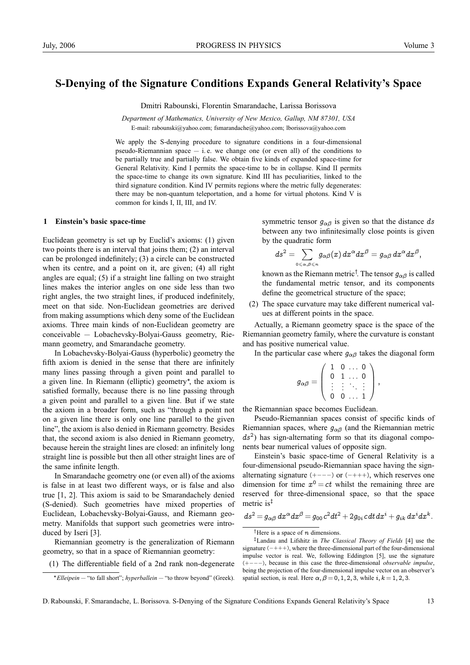# **S-Denying of the Signature Conditions Expands General Relativity's Space**

Dmitri Rabounski, Florentin Smarandache, Larissa Borissova

*Department of Mathematics, University of New Mexico, Gallup, NM 87301, USA* E-mail: rabounski@yahoo.com; fsmarandache@yahoo.com; lborissova@yahoo.com

We apply the S-denying procedure to signature conditions in a four-dimensional pseudo-Riemannian space  $-$  i.e. we change one (or even all) of the conditions to be partially true and partially false. We obtain five kinds of expanded space-time for General Relativity. Kind I permits the space-time to be in collapse. Kind II permits the space-time to change its own signature. Kind III has peculiarities, linked to the third signature condition. Kind IV permits regions where the metric fully degenerates: there may be non-quantum teleportation, and a home for virtual photons. Kind V is common for kinds I, II, III, and IV.

## **1 Einstein's basic space-time**

Euclidean geometry is set up by Euclid's axioms: (1) given two points there is an interval that joins them; (2) an interval can be prolonged indefinitely; (3) a circle can be constructed when its centre, and a point on it, are given; (4) all right angles are equal; (5) if a straight line falling on two straight lines makes the interior angles on one side less than two right angles, the two straight lines, if produced indefinitely, meet on that side. Non-Euclidean geometries are derived from making assumptions which deny some of the Euclidean axioms. Three main kinds of non-Euclidean geometry are conceivable — Lobachevsky-Bolyai-Gauss geometry, Riemann geometry, and Smarandache geometry.

In Lobachevsky-Bolyai-Gauss (hyperbolic) geometry the fifth axiom is denied in the sense that there are infinitely many lines passing through a given point and parallel to a given line. In Riemann (elliptic) geometry∗ , the axiom is satisfied formally, because there is no line passing through a given point and parallel to a given line. But if we state the axiom in a broader form, such as "through a point not on a given line there is only one line parallel to the given line", the axiom is also denied in Riemann geometry. Besides that, the second axiom is also denied in Riemann geometry, because herein the straight lines are closed: an infinitely long straight line is possible but then all other straight lines are of the same infinite length.

In Smarandache geometry one (or even all) of the axioms is false in at least two different ways, or is false and also true [1, 2]. This axiom is said to be Smarandachely denied (S-denied). Such geometries have mixed properties of Euclidean, Lobachevsky-Bolyai-Gauss, and Riemann geometry. Manifolds that support such geometries were introduced by Iseri [3].

Riemannian geometry is the generalization of Riemann geometry, so that in a space of Riemannian geometry:

(1) The differentiable field of a 2nd rank non-degenerate

symmetric tensor  $g_{\alpha\beta}$  is given so that the distance ds between any two infinitesimally close points is given by the quadratic form

$$
ds^2=\sum_{\scriptscriptstyle 0\leqslant\alpha,\beta\leqslant n}g_{\alpha\beta}(x)\,dx^\alpha dx^\beta=g_{\alpha\beta}\,dx^\alpha dx^\beta,
$$

known as the Riemann metric<sup>†</sup>. The tensor  $g_{\alpha\beta}$  is called the fundamental metric tensor, and its components define the geometrical structure of the space;

(2) The space curvature may take different numerical values at different points in the space.

Actually, a Riemann geometry space is the space of the Riemannian geometry family, where the curvature is constant and has positive numerical value.

In the particular case where  $g_{\alpha\beta}$  takes the diagonal form

$$
g_{\alpha\beta}=\left(\begin{array}{cccc}1&0&\ldots&0\\0&1&\ldots&0\\ \vdots&\vdots&\ddots&\vdots\\0&0&\ldots&1\end{array}\right),
$$

the Riemannian space becomes Euclidean.

Pseudo-Riemannian spaces consist of specific kinds of Riemannian spaces, where  $g_{\alpha\beta}$  (and the Riemannian metric  $ds<sup>2</sup>$ ) has sign-alternating form so that its diagonal components bear numerical values of opposite sign.

Einstein's basic space-time of General Relativity is a four-dimensional pseudo-Riemannian space having the signalternating signature (+−−−) or (−+++), which reserves one dimension for time  $x^0 = ct$  whilst the remaining three are reserved for three-dimensional space, so that the space metric is‡

$$
ds^2 = g_{\alpha\beta} dx^{\alpha} dx^{\beta} = g_{00} c^2 dt^2 + 2g_{0i} c dt dx^i + g_{ik} dx^i dx^k.
$$

<sup>†</sup>Here is a space of  $n$  dimensions.

<sup>∗</sup>*Elleipein* — "to fall short"; *hyperballein* — "to throw beyond" (Greek).

<sup>‡</sup>Landau and Lifshitz in *The Classical Theory of Fields* [4] use the signature  $(-+++)$ , where the three-dimensional part of the four-dimensional impulse vector is real. We, following Eddington [5], use the signature (+−−−), because in this case the three-dimensional *observable impulse*, being the projection of the four-dimensional impulse vector on an observer's spatial section, is real. Here  $\alpha$ ,  $\beta = 0, 1, 2, 3$ , while i,  $k = 1, 2, 3$ .

D. Rabounski, F. Smarandache, L. Borissova. S-Denying of the Signature Conditions Expands General Relativity's Space 13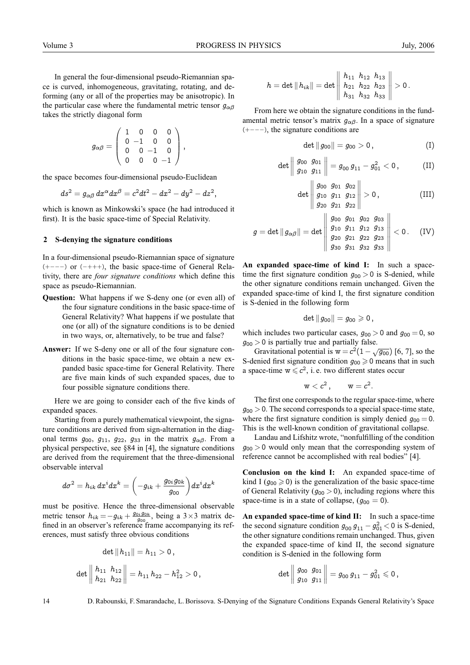In general the four-dimensional pseudo-Riemannian space is curved, inhomogeneous, gravitating, rotating, and deforming (any or all of the properties may be anisotropic). In the particular case where the fundamental metric tensor  $q_{\alpha\beta}$ takes the strictly diagonal form

$$
g_{\alpha\beta}=\left(\begin{array}{cccc} 1 & 0 & 0 & 0 \\ 0 & -1 & 0 & 0 \\ 0 & 0 & -1 & 0 \\ 0 & 0 & 0 & -1 \end{array}\right),
$$

the space becomes four-dimensional pseudo-Euclidean

$$
ds^2=g_{\alpha\beta}\,dx^\alpha dx^\beta=c^2dt^2-dx^2-dy^2-dz^2,
$$

which is known as Minkowski's space (he had introduced it first). It is the basic space-time of Special Relativity.

#### **2 S-denying the signature conditions**

In a four-dimensional pseudo-Riemannian space of signature (+−−−) or (−+++), the basic space-time of General Relativity, there are *four signature conditions* which define this space as pseudo-Riemannian.

- **Question:** What happens if we S-deny one (or even all) of the four signature conditions in the basic space-time of General Relativity? What happens if we postulate that one (or all) of the signature conditions is to be denied in two ways, or, alternatively, to be true and false?
- **Answer:** If we S-deny one or all of the four signature conditions in the basic space-time, we obtain a new expanded basic space-time for General Relativity. There are five main kinds of such expanded spaces, due to four possible signature conditions there.

Here we are going to consider each of the five kinds of expanded spaces.

Starting from a purely mathematical viewpoint, the signature conditions are derived from sign-alternation in the diagonal terms  $g_{00}$ ,  $g_{11}$ ,  $g_{22}$ ,  $g_{33}$  in the matrix  $g_{\alpha\beta}$ . From a physical perspective, see §84 in [4], the signature conditions are derived from the requirement that the three-dimensional observable interval

$$
d\sigma^2=h_{ik}\,dx^idx^k=\biggl(-g_{ik}+\frac{g_{0i}g_{0k}}{g_{00}}\biggr)dx^idx^k
$$

must be positive. Hence the three-dimensional observable metric tensor  $h_{ik} = -g_{ik} + \frac{g_{0i}g_{0k}}{g_{00}}$ , being a 3×3 matrix defined in an observer's reference frame accompanying its references, must satisfy three obvious conditions

$$
\det \|h_{11}\| = h_{11} > 0\,,
$$
  

$$
\det \begin{vmatrix} h_{11} & h_{12} \\ h_{21} & h_{22} \end{vmatrix} = h_{11} h_{22} - h_{12}^2 > 0\,,
$$

$$
h=\det\|h_{ik}\|=\det\left\|\begin{array}{cc}h_{11} \ \ h_{12} \ \ h_{21} \ \ h_{22} \ \ h_{23} \ \ h_{31} \ \ h_{32} \ \ h_{33} \end{array}\right\|>0\,.
$$

From here we obtain the signature conditions in the fundamental metric tensor's matrix  $g_{\alpha\beta}$ . In a space of signature (+−−−), the signature conditions are

$$
\det \|g_{00}\| = g_{00} > 0, \qquad (I)
$$

$$
\det \left\|\frac{g_{00} \ \ g_{01}}{g_{10} \ \ g_{11}}\right\|=g_{00}\, g_{11}-g_{01}^2<0 \, , \qquad \quad \text{(II)}
$$

$$
\det \left\| \begin{array}{cc} g_{00} & g_{01} & g_{02} \\ g_{10} & g_{11} & g_{12} \\ g_{20} & g_{21} & g_{22} \end{array} \right\| > 0, \qquad (\text{III})
$$

$$
g = \det ||g_{\alpha\beta}|| = \det \begin{vmatrix} g_{00} & g_{01} & g_{02} & g_{03} \\ g_{10} & g_{11} & g_{12} & g_{13} \\ g_{20} & g_{21} & g_{22} & g_{23} \\ g_{30} & g_{31} & g_{32} & g_{33} \end{vmatrix} < 0. \quad \text{(IV)}
$$

**An expanded space-time of kind I:** In such a spacetime the first signature condition  $g_{00} > 0$  is S-denied, while the other signature conditions remain unchanged. Given the expanded space-time of kind I, the first signature condition is S-denied in the following form

$$
\det \|g_{00}\| = g_{00} \geqslant 0\,,
$$

which includes two particular cases,  $q_{00} > 0$  and  $q_{00} = 0$ , so  $g_{00} > 0$  is partially true and partially false.

Gravitational potential is  $w = c^2(1 - \sqrt{g_{00}})$  [6, 7], so the S-denied first signature condition  $g_{00} \ge 0$  means that in such a space-time  $w \leq c^2$ , i. e. two different states occur

$$
\mathrm{w} < c^2\,,\qquad \mathrm{w} = c^2.
$$

The first one corresponds to the regular space-time, where  $g_{00} > 0$ . The second corresponds to a special space-time state, where the first signature condition is simply denied  $q_{00} = 0$ . This is the well-known condition of gravitational collapse.

Landau and Lifshitz wrote, "nonfulfilling of the condition  $g_{00} > 0$  would only mean that the corresponding system of reference cannot be accomplished with real bodies" [4].

**Conclusion on the kind I:** An expanded space-time of kind I ( $q_{00} \ge 0$ ) is the generalization of the basic space-time of General Relativity ( $g_{00} > 0$ ), including regions where this space-time is in a state of collapse,  $(g_{00} = 0)$ .

**An expanded space-time of kind II:** In such a space-time the second signature condition  $g_{00} g_{11} - g_{01}^2 < 0$  is S-denied, the other signature conditions remain unchanged. Thus, given the expanded space-time of kind II, the second signature condition is S-denied in the following form

$$
\det \left\|\frac{g_{00}}{g_{10}} \frac{g_{01}}{g_{11}}\right\| = g_{00}\, g_{11} - g_{01}^2 \leqslant 0\,,
$$

14 D. Rabounski, F. Smarandache, L. Borissova. S-Denying of the Signature Conditions Expands General Relativity's Space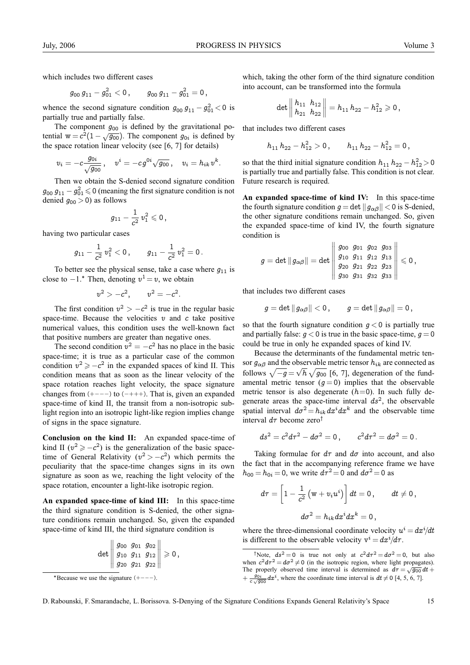which includes two different cases

$$
g_{00}\,g_{11}-g_{01}^2<0\,,\qquad g_{00}\,g_{11}-g_{01}^2=0\,,
$$

whence the second signature condition  $g_{00} g_{11} - g_{01}^2 < 0$  is partially true and partially false.

The component  $g_{00}$  is defined by the gravitational potential w =  $c^2(1-\sqrt{g_{00}})$ . The component  $g_{0i}$  is defined by the space rotation linear velocity (see [6, 7] for details)

$$
v_i = -c\frac{g_{0i}}{\sqrt{g_{00}}}\,,\quad v^i = -cg^{0i}\sqrt{g_{00}}\,,\quad v_i = h_{ik}\,v^k.
$$

Then we obtain the S-denied second signature condition  $g_{00} g_{11} - g_{01}^2 \le 0$  (meaning the first signature condition is not denied  $g_{00} > 0$ ) as follows

$$
g_{11}-\frac{1}{c^2}\, v_1^2 \leqslant 0\,,
$$

having two particular cases

$$
g_{11}-\frac{1}{c^2}\,v_1^2<0\,,\qquad g_{11}-\frac{1}{c^2}\,v_1^2=0\,.
$$

To better see the physical sense, take a case where  $g_{11}$  is close to  $-1$ .<sup>\*</sup> Then, denoting  $v^1 = v$ , we obtain

$$
v^2>-c^2, \qquad v^2=-c^2.
$$

The first condition  $v^2 > -c^2$  is true in the regular basic space-time. Because the velocities  $v$  and  $c$  take positive numerical values, this condition uses the well-known fact that positive numbers are greater than negative ones.

The second condition  $v^2 = -c^2$  has no place in the basic space-time; it is true as a particular case of the common condition  $v^2 \geq -c^2$  in the expanded spaces of kind II. This condition means that as soon as the linear velocity of the space rotation reaches light velocity, the space signature changes from  $(+---)$  to  $(-+++)$ . That is, given an expanded space-time of kind II, the transit from a non-isotropic sublight region into an isotropic light-like region implies change of signs in the space signature.

**Conclusion on the kind II:** An expanded space-time of kind II ( $v^2 \geq -c^2$ ) is the generalization of the basic spacetime of General Relativity ( $v^2 > -c^2$ ) which permits the peculiarity that the space-time changes signs in its own signature as soon as we, reaching the light velocity of the space rotation, encounter a light-like isotropic region.

**An expanded space-time of kind III:** In this space-time the third signature condition is S-denied, the other signature conditions remain unchanged. So, given the expanded space-time of kind III, the third signature condition is

$$
\det \left\|\begin{array}{ccc}g_{00} \,\, g_{01} \,\, g_{02} \\ g_{10} \,\, g_{11} \,\, g_{12} \\ g_{20} \,\, g_{21} \,\, g_{22}\end{array}\right\| \geqslant 0\,,
$$

<sup>∗</sup>Because we use the signature (+−−−).

which, taking the other form of the third signature condition into account, can be transformed into the formula

$$
\det\left\|\frac{h_{11}}{h_{21}}\,\frac{h_{12}}{h_{22}}\right\|=h_{11}\,h_{22}-h_{12}^2\geqslant 0\,,
$$

that includes two different cases

$$
h_{11}h_{22}-h_{12}^2>0\,,\qquad h_{11}h_{22}-h_{12}^2=0\,,
$$

so that the third initial signature condition  $h_{11} h_{22} - h_{12}^2 > 0$ is partially true and partially false. This condition is not clear. Future research is required.

**An expanded space-time of kind IV:** In this space-time the fourth signature condition  $g = \det ||g_{\alpha\beta}|| < 0$  is S-denied, the other signature conditions remain unchanged. So, given the expanded space-time of kind IV, the fourth signature condition is

$$
g = \det \|g_{\alpha\beta}\| = \det \left\|\begin{array}{cccc}g_{00} \,\, g_{01} \,\, g_{02} \,\, g_{03} \\ g_{10} \,\, g_{11} \,\, g_{12} \,\, g_{13} \\ g_{20} \,\, g_{21} \,\, g_{22} \,\, g_{23} \\ g_{30} \,\, g_{31} \,\, g_{32} \,\, g_{33} \, \end{array}\right\| \leqslant 0 \, ,
$$

that includes two different cases

$$
g=\det\|\,g_{\alpha\beta}\|<0\,,\qquad g=\det\|\,g_{\alpha\beta}\|=0\,,
$$

so that the fourth signature condition  $g < 0$  is partially true and partially false:  $q < 0$  is true in the basic space-time,  $q = 0$ could be true in only he expanded spaces of kind IV.

Because the determinants of the fundamental metric tensor  $g_{\alpha\beta}$  and the observable metric tensor  $h_{ik}$  are connected as follows  $\sqrt{-g} = \sqrt{h} \sqrt{g_{00}}$  [6, 7], degeneration of the fundamental metric tensor  $(g = 0)$  implies that the observable metric tensor is also degenerate  $(h=0)$ . In such fully degenerate areas the space-time interval  $ds^2$ , the observable spatial interval  $d\sigma^2 = h_{ik} dx^i dx^k$  and the observable time interval  $d\tau$  become zero<sup>†</sup>

$$
ds^2 = c^2 d\tau^2 - d\sigma^2 = 0, \qquad c^2 d\tau^2 = d\sigma^2 = 0.
$$

Taking formulae for  $d\tau$  and  $d\sigma$  into account, and also the fact that in the accompanying reference frame we have  $h_{00} = h_{0i} = 0$ , we write  $d\tau^2 = 0$  and  $d\sigma^2 = 0$  as

$$
d\tau = \left[1 - \frac{1}{c^2}\left(\text{w} + v_i u^i\right)\right]dt = 0\,, \qquad dt \neq 0\,,
$$
  

$$
d\sigma^2 = h_{ik} dx^i dx^k = 0\,,
$$

where the three-dimensional coordinate velocity  $u^{i} = dx^{i}/dt$ is different to the observable velocity  $v^i = dx^i/d\tau$ .

D. Rabounski, F. Smarandache, L. Borissova. S-Denying of the Signature Conditions Expands General Relativity's Space 15

<sup>&</sup>lt;sup>†</sup>Note,  $ds^2 = 0$  is true not only at  $c^2 d\tau^2 = d\sigma^2 = 0$ , but also when  $c^2 d\tau^2 = d\sigma^2 \neq 0$  (in the isotropic region, where light propagates). The properly observed time interval is determined as  $d\tau = \sqrt{g_{00}} dt +$  $+\frac{g_{0i}}{c\sqrt{g_{00}}}dx^{i}$ , where the coordinate time interval is  $dt \neq 0$  [4, 5, 6, 7].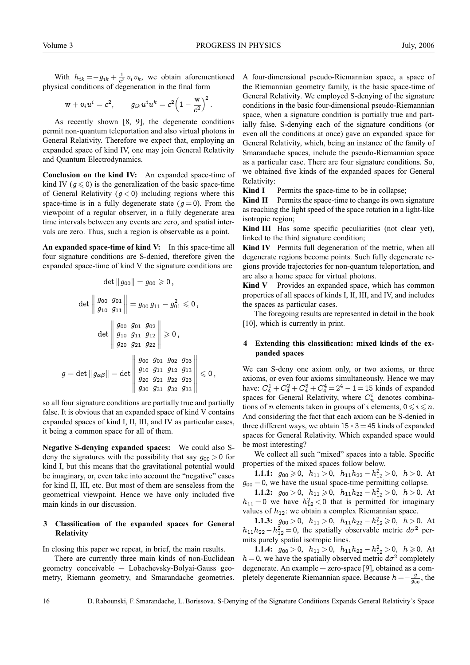.

With  $h_{ik} = -g_{ik} + \frac{1}{c^2} v_i v_k$ , we obtain aforementioned physical conditions of degeneration in the final form

$$
\text{w} + v_i u^i = c^2, \qquad g_{ik} u^i u^k = c^2 \Big( 1 - \frac{\text{w}}{c^2} \Big)^2
$$

As recently shown [8, 9], the degenerate conditions permit non-quantum teleportation and also virtual photons in General Relativity. Therefore we expect that, employing an expanded space of kind IV, one may join General Relativity and Quantum Electrodynamics.

**Conclusion on the kind IV:** An expanded space-time of kind IV ( $g \le 0$ ) is the generalization of the basic space-time of General Relativity ( $g < 0$ ) including regions where this space-time is in a fully degenerate state ( $g = 0$ ). From the viewpoint of a regular observer, in a fully degenerate area time intervals between any events are zero, and spatial intervals are zero. Thus, such a region is observable as a point.

**An expanded space-time of kind V:** In this space-time all four signature conditions are S-denied, therefore given the expanded space-time of kind V the signature conditions are

$$
\det \left\|g_{00}\right\| = g_{00} \geqslant 0\,,
$$
\n
$$
\det \left\|\frac{g_{00}}{g_{10}}\frac{g_{01}}{g_{11}}\right\| = g_{00} \, g_{11} - g_{01}^2 \leqslant 0\,,
$$
\n
$$
\det \left\|\frac{g_{00}}{g_{10}}\frac{g_{01}}{g_{11}}\frac{g_{02}}{g_{12}}\right\| \geqslant 0\,,
$$
\n
$$
g = \det \left\|g_{\alpha\beta}\right\| = \det \left\|\frac{g_{00}}{g_{10}}\frac{g_{01}}{g_{11}}\frac{g_{02}}{g_{12}}\frac{g_{03}}{g_{21}}\right\| \leqslant 0\,,
$$

so all four signature conditions are partially true and partially false. It is obvious that an expanded space of kind V contains expanded spaces of kind I, II, III, and IV as particular cases, it being a common space for all of them.

**Negative S-denying expanded spaces:** We could also Sdeny the signatures with the possibility that say  $q_{00} > 0$  for kind I, but this means that the gravitational potential would be imaginary, or, even take into account the "negative" cases for kind II, III, etc. But most of them are senseless from the geometrical viewpoint. Hence we have only included five main kinds in our discussion.

# **3 Classification of the expanded spaces for General Relativity**

In closing this paper we repeat, in brief, the main results.

There are currently three main kinds of non-Euclidean geometry conceivable — Lobachevsky-Bolyai-Gauss geometry, Riemann geometry, and Smarandache geometries.

A four-dimensional pseudo-Riemannian space, a space of the Riemannian geometry family, is the basic space-time of General Relativity. We employed S-denying of the signature conditions in the basic four-dimensional pseudo-Riemannian space, when a signature condition is partially true and partially false. S-denying each of the signature conditions (or even all the conditions at once) gave an expanded space for General Relativity, which, being an instance of the family of Smarandache spaces, include the pseudo-Riemannian space as a particular case. There are four signature conditions. So, we obtained five kinds of the expanded spaces for General Relativity:

**Kind I** Permits the space-time to be in collapse;

**Kind II** Permits the space-time to change its own signature as reaching the light speed of the space rotation in a light-like isotropic region;

**Kind III** Has some specific peculiarities (not clear yet), linked to the third signature condition;

**Kind IV** Permits full degeneration of the metric, when all degenerate regions become points. Such fully degenerate regions provide trajectories for non-quantum teleportation, and are also a home space for virtual photons.

**Kind V** Provides an expanded space, which has common properties of all spaces of kinds I, II, III, and IV, and includes the spaces as particular cases.

The foregoing results are represented in detail in the book [10], which is currently in print.

## **4 Extending this classification: mixed kinds of the expanded spaces**

We can S-deny one axiom only, or two axioms, or three axioms, or even four axioms simultaneously. Hence we may have:  $C_4^1 + C_4^2 + C_4^3 + C_4^4 = 2^4 - 1 = 15$  kinds of expanded spaces for General Relativity, where  $C_n^i$  denotes combinations of *n* elements taken in groups of *i* elements,  $0 \le i \le n$ . And considering the fact that each axiom can be S-denied in three different ways, we obtain  $15 \times 3 = 45$  kinds of expanded spaces for General Relativity. Which expanded space would be most interesting?

We collect all such "mixed" spaces into a table. Specific properties of the mixed spaces follow below.

**1.1.1:**  $g_{00} \ge 0$ ,  $h_{11} > 0$ ,  $h_{11}h_{22} - h_{12}^2 > 0$ ,  $h > 0$ . At  $g_{00} = 0$ , we have the usual space-time permitting collapse.

**1.1.2:**  $g_{00} > 0$ ,  $h_{11} \ge 0$ ,  $h_{11}h_{22} - h_{12}^2 > 0$ ,  $h > 0$ . At  $h_{11} = 0$  we have  $h_{12}^2 < 0$  that is permitted for imaginary values of  $h_{12}$ : we obtain a complex Riemannian space.

**1.1.3:**  $g_{00} > 0$ ,  $h_{11} > 0$ ,  $h_{11}h_{22} - h_{12}^2 \ge 0$ ,  $h > 0$ . At  $h_{11}h_{22}-h_{12}^2=0$ , the spatially observable metric  $d\sigma^2$  permits purely spatial isotropic lines.

**1.1.4:**  $g_{00} > 0$ ,  $h_{11} > 0$ ,  $h_{11}h_{22} - h_{12}^2 > 0$ ,  $h \ge 0$ . At  $h = 0$ , we have the spatially observed metric  $d\sigma^2$  completely degenerate. An example — zero-space [9], obtained as a completely degenerate Riemannian space. Because  $h = -\frac{g}{g_{00}}$ , the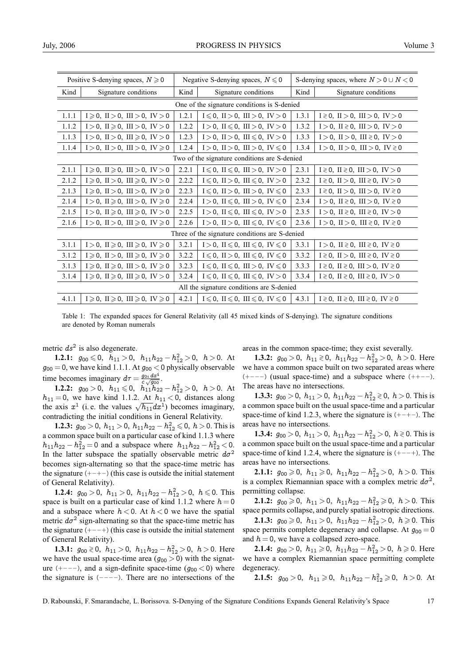| Positive S-denying spaces, $N \ge 0$           |                                                                           | Negative S-denying spaces, $N \le 0$ |                                                                           | S-denying spaces, where $N > 0 \cup N < 0$ |                                                   |
|------------------------------------------------|---------------------------------------------------------------------------|--------------------------------------|---------------------------------------------------------------------------|--------------------------------------------|---------------------------------------------------|
| Kind                                           | Signature conditions                                                      | Kind                                 | Signature conditions                                                      | Kind                                       | Signature conditions                              |
| One of the signature conditions is S-denied    |                                                                           |                                      |                                                                           |                                            |                                                   |
| 1.1.1                                          | $I \ge 0$ , II > 0, III > 0, IV > 0                                       | 1.2.1                                | $I \le 0$ , II > 0, III > 0, IV > 0                                       | 1.3.1                                      | $I \ge 0$ , II > 0, III > 0, IV > 0               |
| 1.1.2                                          | $I > 0$ , $II \ge 0$ , $III > 0$ , $IV > 0$                               | 1.2.2                                | $I > 0$ , $II \le 0$ , $III > 0$ , $IV > 0$                               | 1.3.2                                      | $I > 0$ , II ≷ 0, III > 0, IV > 0                 |
| 1.1.3                                          | $I > 0$ , $II > 0$ , $III \ge 0$ , $IV > 0$                               | 1.2.3                                | $I > 0$ , $II > 0$ , $III \le 0$ , $IV > 0$                               | 1.3.3                                      | $I > 0$ , II > 0, III ≷ 0, IV > 0                 |
| 1.1.4                                          | $I > 0$ , $II > 0$ , $III > 0$ , $IV \ge 0$                               | 1.2.4                                | $I > 0$ , $II > 0$ , $III > 0$ , $IV \le 0$                               | 1.3.4                                      | $I > 0$ , $II > 0$ , $III > 0$ , $IV \ge 0$       |
| Two of the signature conditions are S-denied   |                                                                           |                                      |                                                                           |                                            |                                                   |
| 2.1.1                                          | $I \geqslant 0$ , $II \geqslant 0$ , $III > 0$ , $IV > 0$                 | 2.2.1                                | $I \leq 0$ , $II \leq 0$ , $III > 0$ , $IV > 0$                           | 2.3.1                                      | $I \ge 0$ , II ≥ 0, III > 0, IV > 0               |
| 2.1.2                                          | $I \ge 0$ , II > 0, III $\ge 0$ , IV > 0                                  | 2.2.2                                | $I \leq 0$ , $II > 0$ , $III \leq 0$ , $IV > 0$                           | 2.3.2                                      | $I \ge 0$ , II > 0, III ≥ 0, IV > 0               |
| 2.1.3                                          | $I \ge 0$ , II > 0, III > 0, IV $\ge 0$                                   | 2.2.3                                | $I \leq 0$ , $II > 0$ , $III > 0$ , $IV \leq 0$                           | 2.3.3                                      | $I \ge 0$ , II > 0, III > 0, IV ≥ 0               |
| 2.1.4                                          | $I > 0$ , II ≥ 0, III > 0, IV ≥ 0                                         | 2.2.4                                | $I > 0$ , $II \leq 0$ , $III > 0$ , $IV \leq 0$                           | 2.3.4                                      | $I > 0$ , II ≷ 0, III > 0, IV ≷ 0                 |
| 2.1.5                                          | $I>0$ , $II \geqslant 0$ , $III \geqslant 0$ , $IV>0$                     | 2.2.5                                | $I>0$ , $II \leq 0$ , $III \leq 0$ , $IV>0$                               | 2.3.5                                      | $I > 0$ , II ≷ 0, III ≷ 0, IV > 0                 |
| 2.1.6                                          | $I > 0$ , II > 0, III ≥ 0, IV ≥ 0                                         | 2.2.6                                | $I > 0$ , $II > 0$ , $III \leq 0$ , $IV \leq 0$                           | 2.3.6                                      | $I > 0$ , II > 0, III ≷ 0, IV ≷ 0                 |
| Three of the signature conditions are S-denied |                                                                           |                                      |                                                                           |                                            |                                                   |
| 3.1.1                                          | $I > 0$ , $II \ge 0$ , $III \ge 0$ , $IV \ge 0$                           | 3.2.1                                | $I > 0$ , $II \leq 0$ , $III \leq 0$ , $IV \leq 0$                        | 3.3.1                                      | I > 0, II $\geq 0$ , III $\geq 0$ , IV $\geq 0$   |
| 3.1.2                                          | $I \geqslant 0$ , $II > 0$ , $III \geqslant 0$ , $IV \geqslant 0$         | 3.2.2                                | $I \leq 0$ , $II > 0$ , $III \leq 0$ , $IV \leq 0$                        | 3.3.2                                      | $I \ge 0$ , $II > 0$ , $III \ge 0$ , $IV \ge 0$   |
| 3.1.3                                          | $I \geqslant 0$ , $II \geqslant 0$ , $III > 0$ , $IV \geqslant 0$         | 3.2.3                                | $I \leq 0$ , $II \leq 0$ , $III > 0$ , $IV \leq 0$                        | 3.3.3                                      | $I \ge 0$ , $II \ge 0$ , $III > 0$ , $IV \ge 0$   |
| 3.1.4                                          | $I \geqslant 0$ , $II \geqslant 0$ , $III \geqslant 0$ , $IV > 0$         | 3.2.4                                | $I \leqslant 0$ , $II \leqslant 0$ , $III \leqslant 0$ , $IV > 0$         | 3.3.4                                      | $I \ge 0$ , $II \ge 0$ , $III \ge 0$ , $IV > 0$   |
| All the signature conditions are S-denied      |                                                                           |                                      |                                                                           |                                            |                                                   |
| 4.1.1                                          | $I \geqslant 0$ , $II \geqslant 0$ , $III \geqslant 0$ , $IV \geqslant 0$ | 4.2.1                                | $I \leqslant 0$ , $II \leqslant 0$ , $III \leqslant 0$ , $IV \leqslant 0$ | 4.3.1                                      | $I \ge 0$ , $II \ge 0$ , $III \ge 0$ , $IV \ge 0$ |

Table 1: The expanded spaces for General Relativity (all 45 mixed kinds of S-denying). The signature conditions are denoted by Roman numerals

metric  $ds^2$  is also degenerate.

**1.2.1:**  $g_{00} \leq 0$ ,  $h_{11} > 0$ ,  $h_{11}h_{22} - h_{12}^2 > 0$ ,  $h > 0$ . At  $g_{00} = 0$ , we have kind 1.1.1. At  $g_{00} < 0$  physically observable time becomes imaginary  $d\tau = \frac{g_{0i} dx^{i}}{c \sqrt{g_{00}}}$ .

**1.2.2:**  $g_{00} > 0$ ,  $h_{11} \le 0$ ,  $h_{11}h_{22} - h_{12}^2 > 0$ ,  $h > 0$ . At  $h_{11} = 0$ , we have kind 1.1.2. At  $h_{11} < 0$ , distances along the axis  $x^1$  (i.e. the values  $\sqrt{h_{11}}dx^1$ ) becomes imaginary, contradicting the initial conditions in General Relativity.

**1.2.3:**  $g_{00} > 0$ ,  $h_{11} > 0$ ,  $h_{11}h_{22} - h_{12}^2 \le 0$ ,  $h > 0$ . This is a common space built on a particular case of kind 1.1.3 where  $h_{11}h_{22} - h_{12}^2 = 0$  and a subspace where  $h_{11}h_{22} - h_{12}^2 < 0$ . In the latter subspace the spatially observable metric  $d\sigma^2$ becomes sign-alternating so that the space-time metric has the signature  $(+-+-)$  (this case is outside the initial statement of General Relativity).

**1.2.4:**  $g_{00} > 0$ ,  $h_{11} > 0$ ,  $h_{11}h_{22} - h_{12}^2 > 0$ ,  $h \le 0$ . This space is built on a particular case of kind 1.1.2 where  $h = 0$ and a subspace where  $h < 0$ . At  $h < 0$  we have the spatial metric  $d\sigma^2$  sign-alternating so that the space-time metric has the signature (+−−+) (this case is outside the initial statement of General Relativity).

**1.3.1:**  $g_{00} \ge 0$ ,  $h_{11} > 0$ ,  $h_{11}h_{22} - h_{12}^2 > 0$ ,  $h > 0$ . Here we have the usual space-time area  $(q_{00} > 0)$  with the signature  $(+---)$ , and a sign-definite space-time  $(q_{00} < 0)$  where the signature is (−−−−). There are no intersections of the areas in the common space-time; they exist severally.

**1.3.2:**  $g_{00} > 0$ ,  $h_{11} \ge 0$ ,  $h_{11}h_{22} - h_{12}^2 > 0$ ,  $h > 0$ . Here we have a common space built on two separated areas where  $(+---)$  (usual space-time) and a subspace where  $(+---)$ . The areas have no intersections.

**1.3.3:**  $g_{00} > 0$ ,  $h_{11} > 0$ ,  $h_{11}h_{22} - h_{12}^2 \ge 0$ ,  $h > 0$ . This is a common space built on the usual space-time and a particular space-time of kind 1.2.3, where the signature is  $(+-+-)$ . The areas have no intersections.

**1.3.4:**  $g_{00} > 0$ ,  $h_{11} > 0$ ,  $h_{11}h_{22} - h_{12}^2 > 0$ ,  $h \ge 0$ . This is a common space built on the usual space-time and a particular space-time of kind 1.2.4, where the signature is  $(+--+)$ . The areas have no intersections.

**2.1.1:**  $g_{00} \ge 0$ ,  $h_{11} \ge 0$ ,  $h_{11}h_{22} - h_{12}^2 > 0$ ,  $h > 0$ . This is a complex Riemannian space with a complex metric  $d\sigma^2$ , permitting collapse.

**2.1.2:**  $g_{00} \ge 0$ ,  $h_{11} > 0$ ,  $h_{11}h_{22} - h_{12}^2 \ge 0$ ,  $h > 0$ . This space permits collapse, and purely spatial isotropic directions.

**2.1.3:**  $g_{00} \ge 0$ ,  $h_{11} > 0$ ,  $h_{11}h_{22} - h_{12}^2 > 0$ ,  $h \ge 0$ . This space permits complete degeneracy and collapse. At  $g_{00} = 0$ and  $h = 0$ , we have a collapsed zero-space.

**2.1.4:**  $g_{00} > 0$ ,  $h_{11} \ge 0$ ,  $h_{11}h_{22} - h_{12}^2 > 0$ ,  $h \ge 0$ . Here we have a complex Riemannian space permitting complete degeneracy.

**2.1.5:**  $g_{00} > 0$ ,  $h_{11} \ge 0$ ,  $h_{11}h_{22} - h_{12}^2 \ge 0$ ,  $h > 0$ . At

D. Rabounski, F. Smarandache, L. Borissova. S-Denying of the Signature Conditions Expands General Relativity's Space 17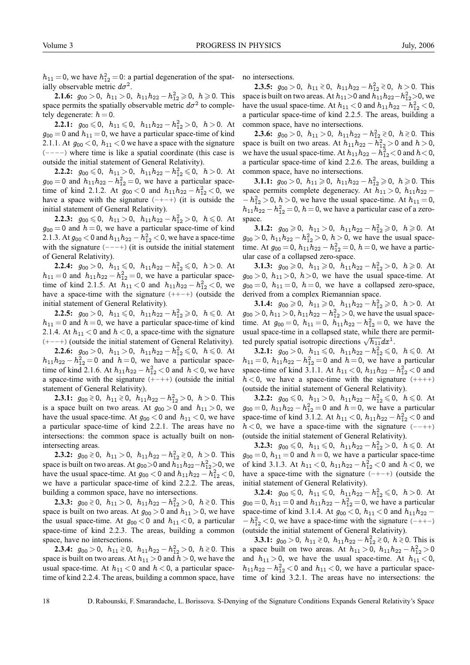$h_{11} = 0$ , we have  $h_{12}^2 = 0$ : a partial degeneration of the spatially observable metric  $d\sigma^2$ .

**2.1.6:**  $g_{00} > 0$ ,  $h_{11} > 0$ ,  $h_{11}h_{22} - h_{12}^2 \ge 0$ ,  $h \ge 0$ . This space permits the spatially observable metric  $d\sigma^2$  to completely degenerate:  $h = 0$ .

**2.2.1:**  $g_{00} \leq 0$ ,  $h_{11} \leq 0$ ,  $h_{11}h_{22} - h_{12}^2 > 0$ ,  $h > 0$ . At  $g_{00} = 0$  and  $h_{11} = 0$ , we have a particular space-time of kind 2.1.1. At  $g_{00}$  < 0,  $h_{11}$  < 0 we have a space with the signature (−−−−) where time is like a spatial coordinate (this case is outside the initial statement of General Relativity).

**2.2.2:**  $g_{00} \le 0$ ,  $h_{11} > 0$ ,  $h_{11}h_{22} - h_{12}^2 \le 0$ ,  $h > 0$ . At  $g_{00} = 0$  and  $h_{11}h_{22} - h_{12}^2 = 0$ , we have a particular spacetime of kind 2.1.2. At  $g_{00} < 0$  and  $h_{11}h_{22} - h_{12}^2 < 0$ , we have a space with the signature  $(-+-+)$  (it is outside the initial statement of General Relativity).

**2.2.3:**  $g_{00} \le 0$ ,  $h_{11} > 0$ ,  $h_{11}h_{22} - h_{12}^2 > 0$ ,  $h \le 0$ . At  $g_{00} = 0$  and  $h = 0$ , we have a particular space-time of kind 2.1.3. At  $g_{00} < 0$  and  $h_{11}h_{22} - h_{12}^2 < 0$ , we have a space-time with the signature  $(--+)$  (it is outside the initial statement of General Relativity).

**2.2.4:**  $g_{00} > 0$ ,  $h_{11} \leq 0$ ,  $h_{11}h_{22} - h_{12}^2 \leq 0$ ,  $h > 0$ . At  $h_{11} = 0$  and  $h_{11}h_{22} - h_{12}^2 = 0$ , we have a particular spacetime of kind 2.1.5. At  $h_{11} < 0$  and  $h_{11}h_{22} - h_{12}^2 < 0$ , we have a space-time with the signature  $(++-+)$  (outside the initial statement of General Relativity).

**2.2.5:**  $g_{00} > 0$ ,  $h_{11} \le 0$ ,  $h_{11}h_{22} - h_{12}^2 \ge 0$ ,  $h \le 0$ . At  $h_{11} = 0$  and  $h = 0$ , we have a particular space-time of kind 2.1.4. At  $h_{11}$  < 0 and  $h$  < 0, a space-time with the signature (+−−+) (outside the initial statement of General Relativity).

**2.2.6:**  $g_{00} > 0$ ,  $h_{11} > 0$ ,  $h_{11}h_{22} - h_{12}^2 ≤ 0$ ,  $h ≤ 0$ . At  $h_{11}h_{22} - h_{12}^2 = 0$  and  $h = 0$ , we have a particular spacetime of kind 2.1.6. At  $h_{11}h_{22} - h_{12}^2 < 0$  and  $h < 0$ , we have a space-time with the signature (+−++) (outside the initial statement of General Relativity).

**2.3.1:**  $g_{00} \ge 0$ ,  $h_{11} \ge 0$ ,  $h_{11}h_{22} - h_{12}^2 > 0$ ,  $h > 0$ . This is a space built on two areas. At  $g_{00} > 0$  and  $h_{11} > 0$ , we have the usual space-time. At  $g_{00}$  < 0 and  $h_{11}$  < 0, we have a particular space-time of kind 2.2.1. The areas have no intersections: the common space is actually built on nonintersecting areas.

**2.3.2:**  $g_{00} \ge 0$ ,  $h_{11} > 0$ ,  $h_{11}h_{22} - h_{12}^2 \ge 0$ ,  $h > 0$ . This space is built on two areas. At  $g_{00}$ >0 and  $h_{11}h_{22}-h_{12}^2$ >0, we have the usual space-time. At  $g_{00} < 0$  and  $h_{11}h_{22} - h_{12}^2 < 0$ , we have a particular space-time of kind 2.2.2. The areas, building a common space, have no intersections.

**2.3.3:**  $g_{00} \ge 0$ ,  $h_{11} > 0$ ,  $h_{11}h_{22} - h_{12}^2 > 0$ ,  $h \ge 0$ . This space is built on two areas. At  $g_{00} > 0$  and  $h_{11} > 0$ , we have the usual space-time. At  $g_{00}$  < 0 and  $h_{11}$  < 0, a particular space-time of kind 2.2.3. The areas, building a common space, have no intersections.

**2.3.4:**  $g_{00} > 0$ ,  $h_{11} \ge 0$ ,  $h_{11}h_{22} - h_{12}^2 > 0$ ,  $h \ge 0$ . This space is built on two areas. At  $h_{11} > 0$  and  $h > 0$ , we have the usual space-time. At  $h_{11}$  < 0 and  $h$  < 0, a particular spacetime of kind 2.2.4. The areas, building a common space, have no intersections.

**2.3.5:**  $g_{00} > 0$ ,  $h_{11} \ge 0$ ,  $h_{11}h_{22} - h_{12}^2 \ge 0$ ,  $h > 0$ . This space is built on two areas. At  $h_{11}$  >0 and  $h_{11}h_{22}-h_{12}^2$  >0, we have the usual space-time. At  $h_{11} < 0$  and  $h_{11}h_{22} - h_{12}^2 < 0$ , a particular space-time of kind 2.2.5. The areas, building a common space, have no intersections.

**2.3.6:**  $g_{00} > 0$ ,  $h_{11} > 0$ ,  $h_{11}h_{22} - h_{12}^2 \ge 0$ ,  $h \ge 0$ . This space is built on two areas. At  $h_{11}h_{22} - h_{12}^2 > 0$  and  $h > 0$ , we have the usual space-time. At  $h_{11}h_{22} - h_{12}^2 < 0$  and  $h < 0$ , a particular space-time of kind 2.2.6. The areas, building a common space, have no intersections.

**3.1.1:**  $g_{00} > 0$ ,  $h_{11} \ge 0$ ,  $h_{11}h_{22} - h_{12}^2 \ge 0$ ,  $h \ge 0$ . This space permits complete degeneracy. At  $h_{11} > 0$ ,  $h_{11}h_{22}$  –  $-h_{12}^2 > 0$ ,  $h > 0$ , we have the usual space-time. At  $h_{11} = 0$ ,  $h_{11}h_{22} - h_{12}^2 = 0$ ,  $h = 0$ , we have a particular case of a zerospace.

**3.1.2:**  $g_{00} \ge 0$ ,  $h_{11} > 0$ ,  $h_{11}h_{22} - h_{12}^2 \ge 0$ ,  $h \ge 0$ . At  $g_{00} > 0$ ,  $h_{11}h_{22} - h_{12}^2 > 0$ ,  $h > 0$ , we have the usual spacetime. At  $g_{00} = 0$ ,  $h_{11}h_{22} - h_{12}^2 = 0$ ,  $h = 0$ , we have a particular case of a collapsed zero-space.

**3.1.3:**  $g_{00} \ge 0$ ,  $h_{11} \ge 0$ ,  $h_{11}h_{22} - h_{12}^2 > 0$ ,  $h \ge 0$ . At  $g_{00} > 0$ ,  $h_{11} > 0$ ,  $h > 0$ , we have the usual space-time. At  $g_{00} = 0$ ,  $h_{11} = 0$ ,  $h = 0$ , we have a collapsed zero-space, derived from a complex Riemannian space.

**3.1.4:**  $g_{00} \ge 0$ ,  $h_{11} \ge 0$ ,  $h_{11}h_{22} - h_{12}^2 \ge 0$ ,  $h > 0$ . At  $g_{00} > 0$ ,  $h_{11} > 0$ ,  $h_{11}h_{22} - h_{12}^2 > 0$ , we have the usual spacetime. At  $g_{00} = 0$ ,  $h_{11} = 0$ ,  $h_{11}h_{22} - h_{12}^2 = 0$ , we have the usual space-time in a collapsed state, while there are permitted purely spatial isotropic directions  $\sqrt{h_{11}}dx^1$ .

**3.2.1:**  $g_{00} > 0$ ,  $h_{11} \le 0$ ,  $h_{11}h_{22} - h_{12}^2 \le 0$ ,  $h \le 0$ . At  $h_{11} = 0$ ,  $h_{11}h_{22} - h_{12}^2 = 0$  and  $h = 0$ , we have a particular space-time of kind 3.1.1. At  $h_{11} < 0$ ,  $h_{11}h_{22} - h_{12}^2 < 0$  and  $h < 0$ , we have a space-time with the signature  $(++)$ (outside the initial statement of General Relativity).

**3.2.2:**  $g_{00} \le 0$ ,  $h_{11} > 0$ ,  $h_{11}h_{22} - h_{12}^2 \le 0$ ,  $h \le 0$ . At  $g_{00} = 0$ ,  $h_{11}h_{22} - h_{12}^2 = 0$  and  $h = 0$ , we have a particular space-time of kind 3.1.2. At  $h_{11} < 0$ ,  $h_{11}h_{22} - h_{12}^2 < 0$  and  $h < 0$ , we have a space-time with the signature (--++) (outside the initial statement of General Relativity).

**3.2.3:**  $g_{00} \le 0$ ,  $h_{11} \le 0$ ,  $h_{11}h_{22} - h_{12}^2 > 0$ ,  $h \le 0$ . At  $g_{00} = 0$ ,  $h_{11} = 0$  and  $h = 0$ , we have a particular space-time of kind 3.1.3. At  $h_{11} < 0$ ,  $h_{11}h_{22} - h_{12}^2 < 0$  and  $h < 0$ , we have a space-time with the signature  $(-+-+)$  (outside the initial statement of General Relativity).

**3.2.4:**  $g_{00} \le 0$ ,  $h_{11} \le 0$ ,  $h_{11}h_{22} - h_{12}^2 \le 0$ ,  $h > 0$ . At  $g_{00} = 0$ ,  $h_{11} = 0$  and  $h_{11}h_{22} - h_{12}^2 = 0$ , we have a particular space-time of kind 3.1.4. At  $g_{00} < 0$ ,  $h_{11} < 0$  and  $h_{11}h_{22}$  –  $-h_{12}^2$  < 0, we have a space-time with the signature (-++-) (outside the initial statement of General Relativity).

**3.3.1:**  $g_{00} > 0$ ,  $h_{11} \ge 0$ ,  $h_{11}h_{22} - h_{12}^2 \ge 0$ ,  $h \ge 0$ . This is a space built on two areas. At  $h_{11} > 0$ ,  $h_{11}h_{22} - h_{12}^2 > 0$ and  $h_{11} > 0$ , we have the usual space-time. At  $h_{11} < 0$ ,  $h_{11}h_{22} - h_{12}^2 < 0$  and  $h_{11} < 0$ , we have a particular spacetime of kind 3.2.1. The areas have no intersections: the